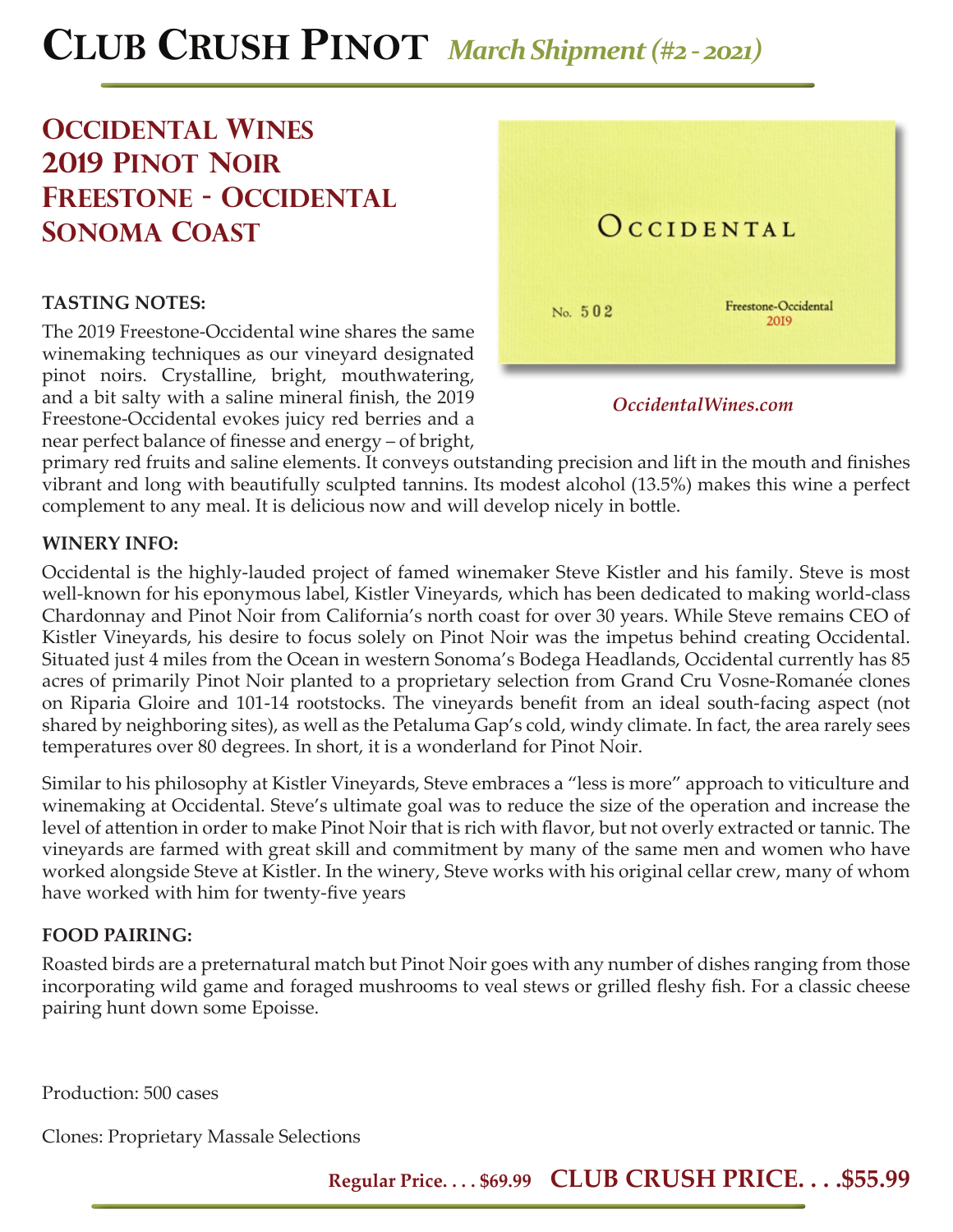# **CLUB CRUSH PINOT** *March Shipment (#2 - 2021)*

# **Occidental Wines 2019 pinot noir Freestone - occidental sonoma coast**

## **TASTING NOTES:**

The 2019 Freestone-Occidental wine shares the same winemaking techniques as our vineyard designated pinot noirs. Crystalline, bright, mouthwatering, and a bit salty with a saline mineral finish, the 2019 Freestone-Occidental evokes juicy red berries and a near perfect balance of finesse and energy - of bright,



*OccidentalWines.com*

primary red fruits and saline elements. It conveys outstanding precision and lift in the mouth and finishes vibrant and long with beautifully sculpted tannins. Its modest alcohol (13.5%) makes this wine a perfect complement to any meal. It is delicious now and will develop nicely in bottle.

### **WINERY INFO:**

Occidental is the highly-lauded project of famed winemaker Steve Kistler and his family. Steve is most well-known for his eponymous label, Kistler Vineyards, which has been dedicated to making world-class Chardonnay and Pinot Noir from California's north coast for over 30 years. While Steve remains CEO of Kistler Vineyards, his desire to focus solely on Pinot Noir was the impetus behind creating Occidental. Situated just 4 miles from the Ocean in western Sonoma's Bodega Headlands, Occidental currently has 85 acres of primarily Pinot Noir planted to a proprietary selection from Grand Cru Vosne-Romanée clones on Riparia Gloire and 101-14 rootstocks. The vineyards benefit from an ideal south-facing aspect (not shared by neighboring sites), as well as the Petaluma Gap's cold, windy climate. In fact, the area rarely sees temperatures over 80 degrees. In short, it is a wonderland for Pinot Noir.

Similar to his philosophy at Kistler Vineyards, Steve embraces a "less is more" approach to viticulture and winemaking at Occidental. Steve's ultimate goal was to reduce the size of the operation and increase the level of attention in order to make Pinot Noir that is rich with flavor, but not overly extracted or tannic. The vineyards are farmed with great skill and commitment by many of the same men and women who have worked alongside Steve at Kistler. In the winery, Steve works with his original cellar crew, many of whom have worked with him for twenty-five years

## **FOOD PAIRING:**

Roasted birds are a preternatural match but Pinot Noir goes with any number of dishes ranging from those incorporating wild game and foraged mushrooms to veal stews or grilled fleshy fish. For a classic cheese pairing hunt down some Epoisse.

Production: 500 cases

Clones: Proprietary Massale Selections